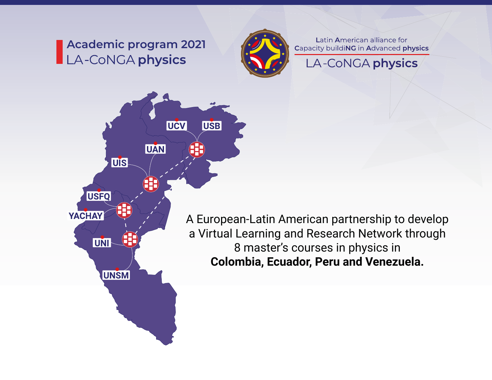# **Academic program 2021**LA-CONGA physics



Latin American alliance for Capacity buildiNG in Advanced physics

A-CoNGA physics



A European-Latin American partnership to develop a Virtual Learning and Research Network through 8 master's courses in physics in **Colombia, Ecuador, Peru and Venezuela.**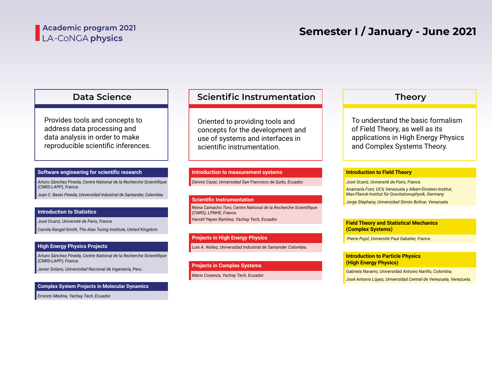### Academic program 2021 LA-CoNGA physics

# **Semester I / January - June 2021**

### **Data Science**

Provides tools and concepts to address data processing and data analysis in order to make [reproducible scientific inferences.](https://laconga.redclara.net/courses/modulo-datos/modulo-datos.html)

#### **Software engineering for scientific research**

*[Arturo Sánchez Pineda, Centre National de la Recherche Scientifique](https://laconga.redclara.net/arturo-sanchez-pineda/)  (CNRS-LAPP), France.*

*[Juan C. Basto Pineda, Universidad Industrial de Santander, Colombia.](https://github.com/juan-pineda/bio)*

#### **Introduction to Statistics**

*[José Ocariz, Université de Paris, France.](https://laconga.redclara.net/jose-ocariz/)*

*[Camila Rangel-Smith, The Alan Turing Institute, United Kingdom.](https://laconga.redclara.net/camila-rangel-smith/)*

#### **High Energy Physics Projects**

*[Arturo Sánchez Pineda, Centre National de la Recherche Scientifique](https://laconga.redclara.net/arturo-sanchez-pineda/)  (CNRS-LAPP), France.*

*[Javier Solano, Universidad Nacional de Ingeniería, Peru.](https://laconga.redclara.net/javier-solano/)*

### **Complex System Projects in Molecular Dynamics**

*[Ernesto Medina, Yachay Tech, Ecuador.](https://laconga.redclara.net/ernesto-medina/)*

### **[Scientific Instrumentation](https://laconga.redclara.net/courses/modulo-instrumentacion/modulo-instrumentacion.html)**

Oriented to providing tools and concepts for the development and use of systems and interfaces in scientific instrumentation.

#### **Introduction to measurement systems**

*[Dennis Cazar, Universidad San Francisco de Quito, Ecuador.](https://laconga.redclara.net/dennis-cazar/)*

#### **Scientific Instrumentation**

*[Harold Yepes Ramírez, Yachay Tech, Ecuador.](https://laconga.redclara.net/harold-yepes-ramirez/) [Reina Camacho Toro, Centre National de la Recherche Scientifique](https://laconga.redclara.net/reina-camacho-toro/)  (CNRS), LPNHE, France.*

#### **Projects in High Energy Physics**

*[Luis A. Núñez, Universidad Industrial de Santander Colombia.](https://laconga.redclara.net/luis-a-nunez/)*

#### **Projects in Complex Systems**

*[Mario Cosenza, Yachay Tech, Ecuador.](https://scholar.google.com/citations?hl=en&user=wmSC_7EAAAAJ)*

### **Theory**

To understand the basic formalism of Field Theory, as well as its [applications in High Energy Physics](https://laconga.redclara.net/courses/modulo-teoria/modulo-teoria.html)  and Complex Systems Theory.

#### **Introduction to Field Theory**

*[José Ocariz, Université de Paris, France.](https://laconga.redclara.net/jose-ocariz/)*

*[Anamaría Font, UCV, Venezuela y Albert-Einstein-Institut,](https://inspirehep.net/authors/1009735)  Max-Planck-Institut für Gravitationsphysik, Germany.*

*[Jorge Stephany, Universidad Simón Bolívar, Venezuela.](https://laconga.redclara.net/jorge-stephany/)*

#### **Field Theory and Statistical Mechanics (Complex Systems)**

 *[Pierre Pujol, Université Paul Sabatier, France.](https://laconga.redclara.net/pierre-pujol/)*

**Introduction to Particle Physics (High Energy Physics)**

*[Gabriela Navarro, Universidad Antonio Nariño, Colombia.](https://laconga.redclara.net/gabriela-navarro/)*

*[José Antonio López, Universidad Central de Venezuela, Venezuela.](https://laconga.redclara.net/jose-antonio-lopez/)*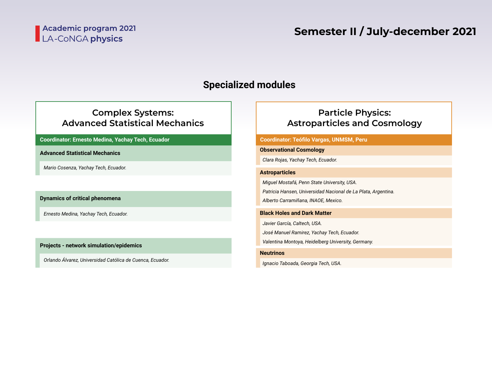# **Specialized modules**

### **Complex Systems: Advanced Statistical Mechanics**

**Coordinator: Ernesto Medina, Yachay Tech, Ecuador Coordinator: Teófilo Vargas, UNMSM, Peru**

**Advanced Statistical Mechanics**

*Mario Cosenza, Yachay Tech, Ecuador.*

**Dynamics of critical phenomena**

*Ernesto Medina, Yachay Tech, Ecuador.*

**Projects - network simulation/epidemics**

*Orlando Álvarez, Universidad Católica de Cuenca, Ecuador.*

### **Particle Physics: Astroparticles and Cosmology**

#### **Observational Cosmology**

*Clara Rojas, Yachay Tech, Ecuador.*

#### **Astroparticles**

*Miguel Mostafá, Penn State University, USA.*

*Patricia Hansen, Universidad Nacional de La Plata, Argentina.*

*Alberto Carramiñana, INAOE, Mexico.*

#### **Black Holes and Dark Matter**

*Javier García, Caltech, USA. José Manuel Ramirez, Yachay Tech, Ecuador.*

*Valentina Montoya, Heidelberg University, Germany.*

#### **Neutrinos**

*Ignacio Taboada, Georgia Tech, USA.*